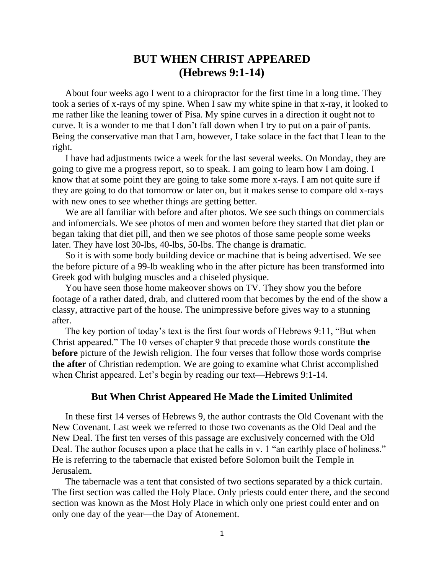## **BUT WHEN CHRIST APPEARED (Hebrews 9:1-14)**

About four weeks ago I went to a chiropractor for the first time in a long time. They took a series of x-rays of my spine. When I saw my white spine in that x-ray, it looked to me rather like the leaning tower of Pisa. My spine curves in a direction it ought not to curve. It is a wonder to me that I don't fall down when I try to put on a pair of pants. Being the conservative man that I am, however, I take solace in the fact that I lean to the right.

I have had adjustments twice a week for the last several weeks. On Monday, they are going to give me a progress report, so to speak. I am going to learn how I am doing. I know that at some point they are going to take some more x-rays. I am not quite sure if they are going to do that tomorrow or later on, but it makes sense to compare old x-rays with new ones to see whether things are getting better.

We are all familiar with before and after photos. We see such things on commercials and infomercials. We see photos of men and women before they started that diet plan or began taking that diet pill, and then we see photos of those same people some weeks later. They have lost 30-lbs, 40-lbs, 50-lbs. The change is dramatic.

So it is with some body building device or machine that is being advertised. We see the before picture of a 99-lb weakling who in the after picture has been transformed into Greek god with bulging muscles and a chiseled physique.

You have seen those home makeover shows on TV. They show you the before footage of a rather dated, drab, and cluttered room that becomes by the end of the show a classy, attractive part of the house. The unimpressive before gives way to a stunning after.

The key portion of today's text is the first four words of Hebrews 9:11, "But when Christ appeared." The 10 verses of chapter 9 that precede those words constitute **the before** picture of the Jewish religion. The four verses that follow those words comprise **the after** of Christian redemption. We are going to examine what Christ accomplished when Christ appeared. Let's begin by reading our text—Hebrews 9:1-14.

## **But When Christ Appeared He Made the Limited Unlimited**

In these first 14 verses of Hebrews 9, the author contrasts the Old Covenant with the New Covenant. Last week we referred to those two covenants as the Old Deal and the New Deal. The first ten verses of this passage are exclusively concerned with the Old Deal. The author focuses upon a place that he calls in v. 1 "an earthly place of holiness." He is referring to the tabernacle that existed before Solomon built the Temple in Jerusalem.

The tabernacle was a tent that consisted of two sections separated by a thick curtain. The first section was called the Holy Place. Only priests could enter there, and the second section was known as the Most Holy Place in which only one priest could enter and on only one day of the year—the Day of Atonement.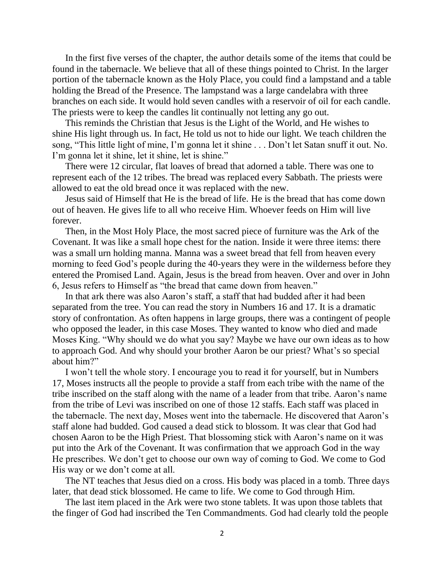In the first five verses of the chapter, the author details some of the items that could be found in the tabernacle. We believe that all of these things pointed to Christ. In the larger portion of the tabernacle known as the Holy Place, you could find a lampstand and a table holding the Bread of the Presence. The lampstand was a large candelabra with three branches on each side. It would hold seven candles with a reservoir of oil for each candle. The priests were to keep the candles lit continually not letting any go out.

This reminds the Christian that Jesus is the Light of the World, and He wishes to shine His light through us. In fact, He told us not to hide our light. We teach children the song, "This little light of mine, I'm gonna let it shine . . . Don't let Satan snuff it out. No. I'm gonna let it shine, let it shine, let is shine."

There were 12 circular, flat loaves of bread that adorned a table. There was one to represent each of the 12 tribes. The bread was replaced every Sabbath. The priests were allowed to eat the old bread once it was replaced with the new.

Jesus said of Himself that He is the bread of life. He is the bread that has come down out of heaven. He gives life to all who receive Him. Whoever feeds on Him will live forever.

Then, in the Most Holy Place, the most sacred piece of furniture was the Ark of the Covenant. It was like a small hope chest for the nation. Inside it were three items: there was a small urn holding manna. Manna was a sweet bread that fell from heaven every morning to feed God's people during the 40-years they were in the wilderness before they entered the Promised Land. Again, Jesus is the bread from heaven. Over and over in John 6, Jesus refers to Himself as "the bread that came down from heaven."

In that ark there was also Aaron's staff, a staff that had budded after it had been separated from the tree. You can read the story in Numbers 16 and 17. It is a dramatic story of confrontation. As often happens in large groups, there was a contingent of people who opposed the leader, in this case Moses. They wanted to know who died and made Moses King. "Why should we do what you say? Maybe we have our own ideas as to how to approach God. And why should your brother Aaron be our priest? What's so special about him?"

I won't tell the whole story. I encourage you to read it for yourself, but in Numbers 17, Moses instructs all the people to provide a staff from each tribe with the name of the tribe inscribed on the staff along with the name of a leader from that tribe. Aaron's name from the tribe of Levi was inscribed on one of those 12 staffs. Each staff was placed in the tabernacle. The next day, Moses went into the tabernacle. He discovered that Aaron's staff alone had budded. God caused a dead stick to blossom. It was clear that God had chosen Aaron to be the High Priest. That blossoming stick with Aaron's name on it was put into the Ark of the Covenant. It was confirmation that we approach God in the way He prescribes. We don't get to choose our own way of coming to God. We come to God His way or we don't come at all.

The NT teaches that Jesus died on a cross. His body was placed in a tomb. Three days later, that dead stick blossomed. He came to life. We come to God through Him.

The last item placed in the Ark were two stone tablets. It was upon those tablets that the finger of God had inscribed the Ten Commandments. God had clearly told the people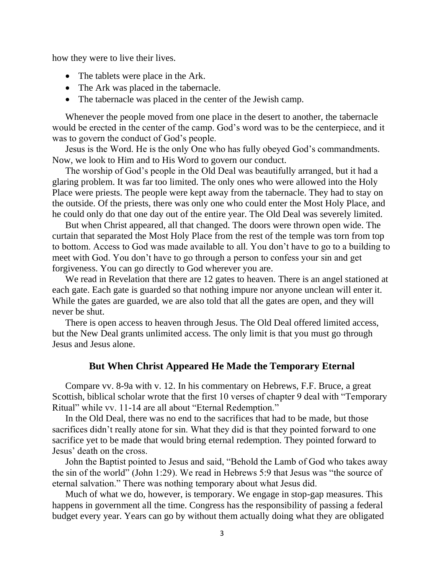how they were to live their lives.

- The tablets were place in the Ark.
- The Ark was placed in the tabernacle.
- The tabernacle was placed in the center of the Jewish camp.

Whenever the people moved from one place in the desert to another, the tabernacle would be erected in the center of the camp. God's word was to be the centerpiece, and it was to govern the conduct of God's people.

Jesus is the Word. He is the only One who has fully obeyed God's commandments. Now, we look to Him and to His Word to govern our conduct.

The worship of God's people in the Old Deal was beautifully arranged, but it had a glaring problem. It was far too limited. The only ones who were allowed into the Holy Place were priests. The people were kept away from the tabernacle. They had to stay on the outside. Of the priests, there was only one who could enter the Most Holy Place, and he could only do that one day out of the entire year. The Old Deal was severely limited.

But when Christ appeared, all that changed. The doors were thrown open wide. The curtain that separated the Most Holy Place from the rest of the temple was torn from top to bottom. Access to God was made available to all. You don't have to go to a building to meet with God. You don't have to go through a person to confess your sin and get forgiveness. You can go directly to God wherever you are.

We read in Revelation that there are 12 gates to heaven. There is an angel stationed at each gate. Each gate is guarded so that nothing impure nor anyone unclean will enter it. While the gates are guarded, we are also told that all the gates are open, and they will never be shut.

There is open access to heaven through Jesus. The Old Deal offered limited access, but the New Deal grants unlimited access. The only limit is that you must go through Jesus and Jesus alone.

## **But When Christ Appeared He Made the Temporary Eternal**

Compare vv. 8-9a with v. 12. In his commentary on Hebrews, F.F. Bruce, a great Scottish, biblical scholar wrote that the first 10 verses of chapter 9 deal with "Temporary Ritual" while vv. 11-14 are all about "Eternal Redemption."

In the Old Deal, there was no end to the sacrifices that had to be made, but those sacrifices didn't really atone for sin. What they did is that they pointed forward to one sacrifice yet to be made that would bring eternal redemption. They pointed forward to Jesus' death on the cross.

John the Baptist pointed to Jesus and said, "Behold the Lamb of God who takes away the sin of the world" (John 1:29). We read in Hebrews 5:9 that Jesus was "the source of eternal salvation." There was nothing temporary about what Jesus did.

Much of what we do, however, is temporary. We engage in stop-gap measures. This happens in government all the time. Congress has the responsibility of passing a federal budget every year. Years can go by without them actually doing what they are obligated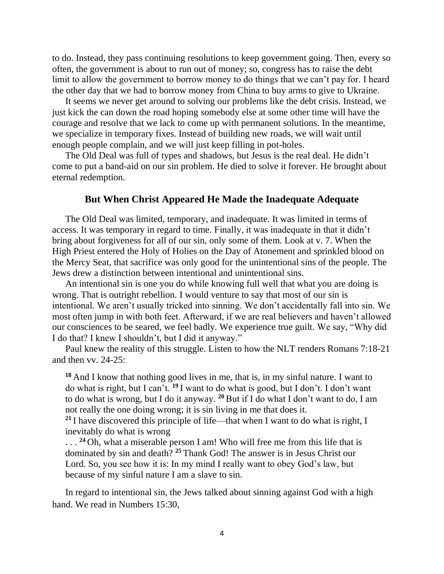to do. Instead, they pass continuing resolutions to keep government going. Then, every so often, the government is about to run out of money; so, congress has to raise the debt limit to allow the government to borrow money to do things that we can't pay for. I heard the other day that we had to borrow money from China to buy arms to give to Ukraine.

It seems we never get around to solving our problems like the debt crisis. Instead, we just kick the can down the road hoping somebody else at some other time will have the courage and resolve that we lack to come up with permanent solutions. In the meantime, we specialize in temporary fixes. Instead of building new roads, we will wait until enough people complain, and we will just keep filling in pot-holes.

The Old Deal was full of types and shadows, but Jesus is the real deal. He didn't come to put a band-aid on our sin problem. He died to solve it forever. He brought about eternal redemption.

## **But When Christ Appeared He Made the Inadequate Adequate**

The Old Deal was limited, temporary, and inadequate. It was limited in terms of access. It was temporary in regard to time. Finally, it was inadequate in that it didn't bring about forgiveness for all of our sin, only some of them. Look at v. 7. When the High Priest entered the Holy of Holies on the Day of Atonement and sprinkled blood on the Mercy Seat, that sacrifice was only good for the unintentional sins of the people. The Jews drew a distinction between intentional and unintentional sins.

An intentional sin is one you do while knowing full well that what you are doing is wrong. That is outright rebellion. I would venture to say that most of our sin is intentional. We aren't usually tricked into sinning. We don't accidentally fall into sin. We most often jump in with both feet. Afterward, if we are real believers and haven't allowed our consciences to be seared, we feel badly. We experience true guilt. We say, "Why did I do that? I knew I shouldn't, but I did it anyway."

Paul knew the reality of this struggle. Listen to how the NLT renders Romans 7:18-21 and then vv. 24-25:

**<sup>18</sup>** And I know that nothing good lives in me, that is, in my sinful nature. I want to do what is right, but I can't. **<sup>19</sup>** I want to do what is good, but I don't. I don't want to do what is wrong, but I do it anyway. **<sup>20</sup>** But if I do what I don't want to do, I am not really the one doing wrong; it is sin living in me that does it.

**<sup>21</sup>** I have discovered this principle of life—that when I want to do what is right, I inevitably do what is wrong

. . . <sup>24</sup> Oh, what a miserable person I am! Who will free me from this life that is dominated by sin and death? **<sup>25</sup>** Thank God! The answer is in Jesus Christ our Lord. So, you see how it is: In my mind I really want to obey God's law, but because of my sinful nature I am a slave to sin.

In regard to intentional sin, the Jews talked about sinning against God with a high hand. We read in Numbers 15:30,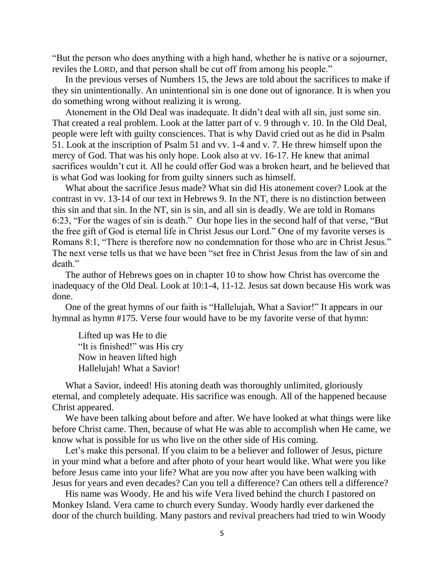"But the person who does anything with a high hand, whether he is native or a sojourner, reviles the LORD, and that person shall be cut off from among his people."

In the previous verses of Numbers 15, the Jews are told about the sacrifices to make if they sin unintentionally. An unintentional sin is one done out of ignorance. It is when you do something wrong without realizing it is wrong.

Atonement in the Old Deal was inadequate. It didn't deal with all sin, just some sin. That created a real problem. Look at the latter part of v. 9 through v. 10. In the Old Deal, people were left with guilty consciences. That is why David cried out as he did in Psalm 51. Look at the inscription of Psalm 51 and vv. 1-4 and v. 7. He threw himself upon the mercy of God. That was his only hope. Look also at vv. 16-17. He knew that animal sacrifices wouldn't cut it. All he could offer God was a broken heart, and he believed that is what God was looking for from guilty sinners such as himself.

What about the sacrifice Jesus made? What sin did His atonement cover? Look at the contrast in vv. 13-14 of our text in Hebrews 9. In the NT, there is no distinction between this sin and that sin. In the NT, sin is sin, and all sin is deadly. We are told in Romans 6:23, "For the wages of sin is death." Our hope lies in the second half of that verse, "But the free gift of God is eternal life in Christ Jesus our Lord." One of my favorite verses is Romans 8:1, "There is therefore now no condemnation for those who are in Christ Jesus." The next verse tells us that we have been "set free in Christ Jesus from the law of sin and death."

The author of Hebrews goes on in chapter 10 to show how Christ has overcome the inadequacy of the Old Deal. Look at 10:1-4, 11-12. Jesus sat down because His work was done.

One of the great hymns of our faith is "Hallelujah, What a Savior!" It appears in our hymnal as hymn #175. Verse four would have to be my favorite verse of that hymn:

Lifted up was He to die "It is finished!" was His cry Now in heaven lifted high Hallelujah! What a Savior!

What a Savior, indeed! His atoning death was thoroughly unlimited, gloriously eternal, and completely adequate. His sacrifice was enough. All of the happened because Christ appeared.

We have been talking about before and after. We have looked at what things were like before Christ came. Then, because of what He was able to accomplish when He came, we know what is possible for us who live on the other side of His coming.

Let's make this personal. If you claim to be a believer and follower of Jesus, picture in your mind what a before and after photo of your heart would like. What were you like before Jesus came into your life? What are you now after you have been walking with Jesus for years and even decades? Can you tell a difference? Can others tell a difference?

His name was Woody. He and his wife Vera lived behind the church I pastored on Monkey Island. Vera came to church every Sunday. Woody hardly ever darkened the door of the church building. Many pastors and revival preachers had tried to win Woody